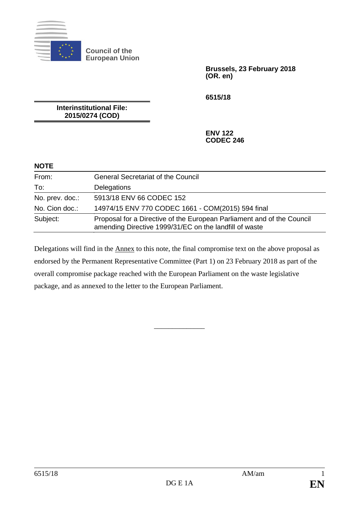

**Council of the European Union**

> **Brussels, 23 February 2018 (OR. en)**

**6515/18**

**Interinstitutional File: 2015/0274 (COD)**

> **ENV 122 CODEC 246**

#### **NOTE**

| From:           | <b>General Secretariat of the Council</b>                                                                                        |
|-----------------|----------------------------------------------------------------------------------------------------------------------------------|
| To:             | Delegations                                                                                                                      |
| No. prev. doc.: | 5913/18 ENV 66 CODEC 152                                                                                                         |
| No. Cion doc.:  | 14974/15 ENV 770 CODEC 1661 - COM(2015) 594 final                                                                                |
| Subject:        | Proposal for a Directive of the European Parliament and of the Council<br>amending Directive 1999/31/EC on the landfill of waste |

Delegations will find in the Annex to this note, the final compromise text on the above proposal as endorsed by the Permanent Representative Committee (Part 1) on 23 February 2018 as part of the overall compromise package reached with the European Parliament on the waste legislative package, and as annexed to the letter to the European Parliament.

\_\_\_\_\_\_\_\_\_\_\_\_\_\_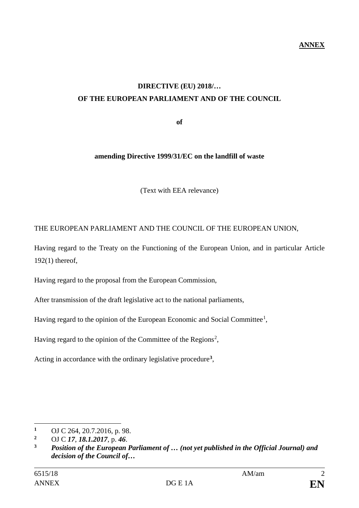# **DIRECTIVE (EU) 2018/… OF THE EUROPEAN PARLIAMENT AND OF THE COUNCIL**

**of**

#### **amending Directive 1999/31/EC on the landfill of waste**

(Text with EEA relevance)

#### THE EUROPEAN PARLIAMENT AND THE COUNCIL OF THE EUROPEAN UNION,

Having regard to the Treaty on the Functioning of the European Union, and in particular Article 192(1) thereof,

Having regard to the proposal from the European Commission,

After transmission of the draft legislative act to the national parliaments,

Having regard to the opinion of the European Economic and Social Committee<sup>[1](#page-1-0)</sup>,

Having regard to the opinion of the Committee of the Regions<sup>[2](#page-1-1)</sup>,

Acting in accordance with the ordinary legislative procedure**[3](#page-1-2)**,

 $\overline{a}$ <sup>1</sup> OJ C 264, 20.7.2016, p. 98.<br><sup>2</sup> OJ C 17, 18, 1, 2017, p. 46.

<span id="page-1-1"></span><span id="page-1-0"></span>**<sup>2</sup>** OJ C *17*, *18.1.2017*, p. *46*.

<span id="page-1-2"></span>**<sup>3</sup>** *Position of the European Parliament of … (not yet published in the Official Journal) and decision of the Council of…*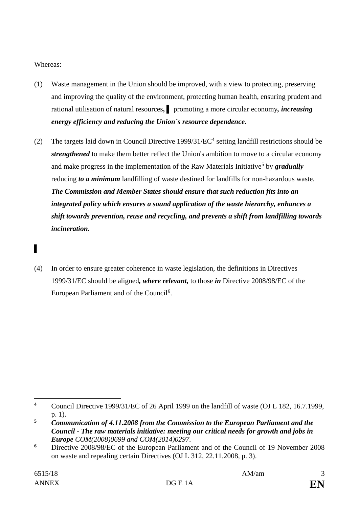Whereas:

*▌*

- (1) Waste management in the Union should be improved, with a view to protecting, preserving and improving the quality of the environment, protecting human health, ensuring prudent and rational utilisation of natural resources**,** *▌* promoting a more circular economy*, increasing energy efficiency and reducing the Union´s resource dependence.*
- (2) The targets laid down in Council Directive  $1999/31/EC^4$  $1999/31/EC^4$  setting landfill restrictions should be *strengthened* to make them better reflect the Union's ambition to move to a circular economy and make progress in the implementation of the Raw Materials Initiative<sup>[5](#page-2-1)</sup> by **gradually** reducing *to a minimum* landfilling of waste destined for landfills for non-hazardous waste. *The Commission and Member States should ensure that such reduction fits into an integrated policy which ensures a sound application of the waste hierarchy, enhances a shift towards prevention, reuse and recycling, and prevents a shift from landfilling towards incineration.*
- (4) In order to ensure greater coherence in waste legislation, the definitions in Directives 1999/31/EC should be aligned*, where relevant,* to those *in* Directive 2008/98/EC of the European Parliament and of the Council<sup>[6](#page-2-2)</sup>.

<span id="page-2-0"></span> $\overline{a}$ **<sup>4</sup>** Council Directive 1999/31/EC of 26 April 1999 on the landfill of waste (OJ L 182, 16.7.1999, p. 1).

<span id="page-2-1"></span>**<sup>5</sup>** *Communication of 4.11.2008 from the Commission to the European Parliament and the Council - The raw materials initiative: meeting our critical needs for growth and jobs in Europe COM(2008)0699 and COM(2014)0297.*

<span id="page-2-2"></span>**<sup>6</sup>** Directive 2008/98/EC of the European Parliament and of the Council of 19 November 2008 on waste and repealing certain Directives (OJ L 312, 22.11.2008, p. 3).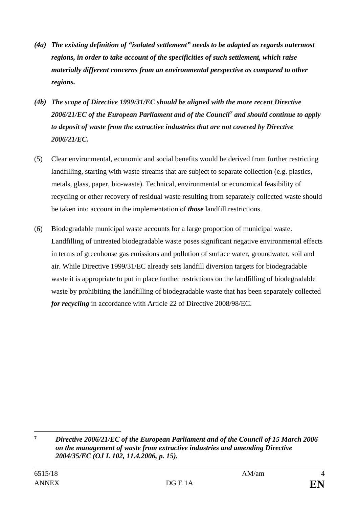- *(4a) The existing definition of "isolated settlement" needs to be adapted as regards outermost regions, in order to take account of the specificities of such settlement, which raise materially different concerns from an environmental perspective as compared to other regions.*
- *(4b) The scope of Directive 1999/31/EC should be aligned with the more recent Directive 2006/21/EC of the European Parliament and of the Council[7](#page-3-0) and should continue to apply to deposit of waste from the extractive industries that are not covered by Directive 2006/21/EC.*
- (5) Clear environmental, economic and social benefits would be derived from further restricting landfilling, starting with waste streams that are subject to separate collection (e.g. plastics, metals, glass, paper, bio-waste). Technical, environmental or economical feasibility of recycling or other recovery of residual waste resulting from separately collected waste should be taken into account in the implementation of *those* landfill restrictions.
- (6) Biodegradable municipal waste accounts for a large proportion of municipal waste. Landfilling of untreated biodegradable waste poses significant negative environmental effects in terms of greenhouse gas emissions and pollution of surface water, groundwater, soil and air. While Directive 1999/31/EC already sets landfill diversion targets for biodegradable waste it is appropriate to put in place further restrictions on the landfilling of biodegradable waste by prohibiting the landfilling of biodegradable waste that has been separately collected *for recycling* in accordance with Article 22 of Directive 2008/98/EC.

<span id="page-3-0"></span> $\overline{7}$ **<sup>7</sup>** *Directive 2006/21/EC of the European Parliament and of the Council of 15 March 2006 on the management of waste from extractive industries and amending Directive 2004/35/EC (OJ L 102, 11.4.2006, p. 15).*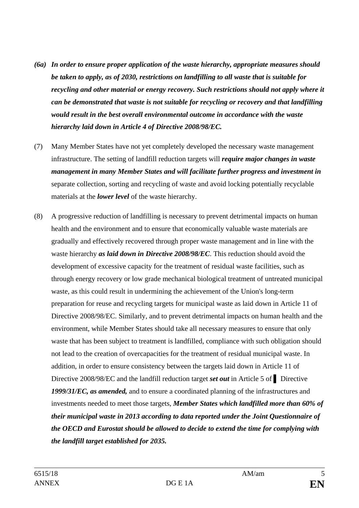- *(6a) In order to ensure proper application of the waste hierarchy, appropriate measures should be taken to apply, as of 2030, restrictions on landfilling to all waste that is suitable for recycling and other material or energy recovery. Such restrictions should not apply where it can be demonstrated that waste is not suitable for recycling or recovery and that landfilling would result in the best overall environmental outcome in accordance with the waste hierarchy laid down in Article 4 of Directive 2008/98/EC.*
- (7) Many Member States have not yet completely developed the necessary waste management infrastructure. The setting of landfill reduction targets will *require major changes in waste management in many Member States and will facilitate further progress and investment in* separate collection, sorting and recycling of waste and avoid locking potentially recyclable materials at the *lower level* of the waste hierarchy.
- (8) A progressive reduction of landfilling is necessary to prevent detrimental impacts on human health and the environment and to ensure that economically valuable waste materials are gradually and effectively recovered through proper waste management and in line with the waste hierarchy *as laid down in Directive 2008/98/EC*. This reduction should avoid the development of excessive capacity for the treatment of residual waste facilities, such as through energy recovery or low grade mechanical biological treatment of untreated municipal waste, as this could result in undermining the achievement of the Union's long-term preparation for reuse and recycling targets for municipal waste as laid down in Article 11 of Directive 2008/98/EC. Similarly, and to prevent detrimental impacts on human health and the environment, while Member States should take all necessary measures to ensure that only waste that has been subject to treatment is landfilled, compliance with such obligation should not lead to the creation of overcapacities for the treatment of residual municipal waste. In addition, in order to ensure consistency between the targets laid down in Article 11 of Directive 2008/98/EC and the landfill reduction target *set out* in Article 5 of **▌** Directive *1999/31/EC, as amended,* and to ensure a coordinated planning of the infrastructures and investments needed to meet those targets, *Member States which landfilled more than 60% of their municipal waste in 2013 according to data reported under the Joint Questionnaire of the OECD and Eurostat should be allowed to decide to extend the time for complying with the landfill target established for 2035.*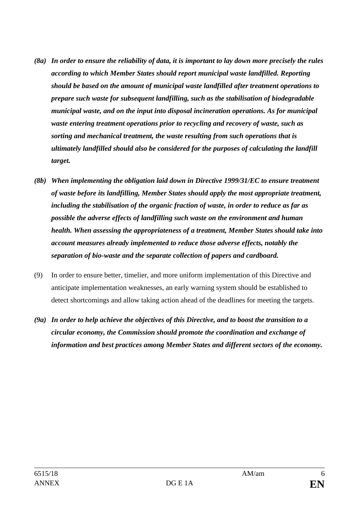- *(8a) In order to ensure the reliability of data, it is important to lay down more precisely the rules according to which Member States should report municipal waste landfilled. Reporting should be based on the amount of municipal waste landfilled after treatment operations to prepare such waste for subsequent landfilling, such as the stabilisation of biodegradable municipal waste, and on the input into disposal incineration operations. As for municipal waste entering treatment operations prior to recycling and recovery of waste, such as sorting and mechanical treatment, the waste resulting from such operations that is ultimately landfilled should also be considered for the purposes of calculating the landfill target.*
- *(8b) When implementing the obligation laid down in Directive 1999/31/EC to ensure treatment of waste before its landfilling, Member States should apply the most appropriate treatment, including the stabilisation of the organic fraction of waste, in order to reduce as far as possible the adverse effects of landfilling such waste on the environment and human health. When assessing the appropriateness of a treatment, Member States should take into account measures already implemented to reduce those adverse effects, notably the separation of bio-waste and the separate collection of papers and cardboard.*
- (9) In order to ensure better, timelier, and more uniform implementation of this Directive and anticipate implementation weaknesses, an early warning system should be established to detect shortcomings and allow taking action ahead of the deadlines for meeting the targets.
- *(9a) In order to help achieve the objectives of this Directive, and to boost the transition to a circular economy, the Commission should promote the coordination and exchange of information and best practices among Member States and different sectors of the economy.*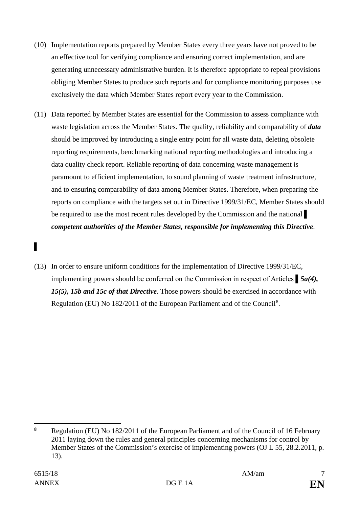- (10) Implementation reports prepared by Member States every three years have not proved to be an effective tool for verifying compliance and ensuring correct implementation, and are generating unnecessary administrative burden. It is therefore appropriate to repeal provisions obliging Member States to produce such reports and for compliance monitoring purposes use exclusively the data which Member States report every year to the Commission.
- (11) Data reported by Member States are essential for the Commission to assess compliance with waste legislation across the Member States. The quality, reliability and comparability of *data* should be improved by introducing a single entry point for all waste data, deleting obsolete reporting requirements, benchmarking national reporting methodologies and introducing a data quality check report. Reliable reporting of data concerning waste management is paramount to efficient implementation, to sound planning of waste treatment infrastructure, and to ensuring comparability of data among Member States. Therefore, when preparing the reports on compliance with the targets set out in Directive 1999/31/EC, Member States should be required to use the most recent rules developed by the Commission and the national *competent authorities of the Member States, responsible for implementing this Directive*.
- (13) In order to ensure uniform conditions for the implementation of Directive 1999/31/EC, implementing powers should be conferred on the Commission in respect of Articles ▌*5a(4), 15(5), 15b and 15c of that Directive*. Those powers should be exercised in accordance with Regulation (EU) No 1[8](#page-6-0)2/2011 of the European Parliament and of the Council<sup>8</sup>.

▌

<span id="page-6-0"></span> $\overline{a}$ **<sup>8</sup>** Regulation (EU) No 182/2011 of the European Parliament and of the Council of 16 February 2011 laying down the rules and general principles concerning mechanisms for control by Member States of the Commission's exercise of implementing powers (OJ L 55, 28.2.2011, p. 13).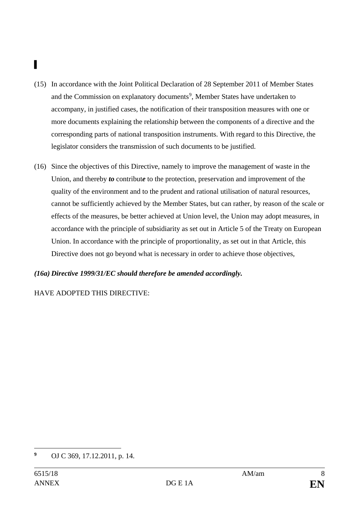# ▌

- (15) In accordance with the Joint Political Declaration of 28 September 2011 of Member States and the Commission on explanatory documents<sup>[9](#page-7-0)</sup>, Member States have undertaken to accompany, in justified cases, the notification of their transposition measures with one or more documents explaining the relationship between the components of a directive and the corresponding parts of national transposition instruments. With regard to this Directive, the legislator considers the transmission of such documents to be justified.
- (16) Since the objectives of this Directive, namely to improve the management of waste in the Union, and thereby *to* contribut*e* to the protection, preservation and improvement of the quality of the environment and to the prudent and rational utilisation of natural resources, cannot be sufficiently achieved by the Member States, but can rather, by reason of the scale or effects of the measures, be better achieved at Union level, the Union may adopt measures, in accordance with the principle of subsidiarity as set out in Article 5 of the Treaty on European Union. In accordance with the principle of proportionality, as set out in that Article, this Directive does not go beyond what is necessary in order to achieve those objectives,

#### *(16a) Directive 1999/31/EC should therefore be amended accordingly.*

HAVE ADOPTED THIS DIRECTIVE:

<span id="page-7-0"></span> $\boldsymbol{9}$ **<sup>9</sup>** OJ C 369, 17.12.2011, p. 14.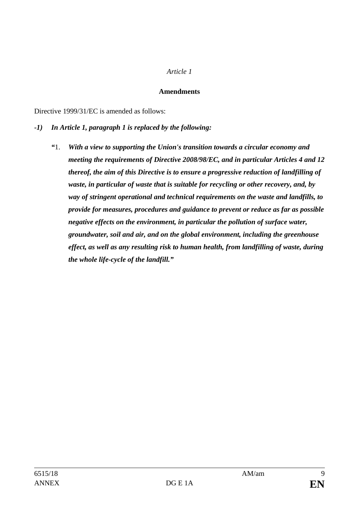#### *Article 1*

#### **Amendments**

Directive 1999/31/EC is amended as follows:

- **-***1) In Article 1, paragraph 1 is replaced by the following:*
	- *"*1. *With a view to supporting the Union's transition towards a circular economy and meeting the requirements of Directive 2008/98/EC, and in particular Articles 4 and 12 thereof, the aim of this Directive is to ensure a progressive reduction of landfilling of waste, in particular of waste that is suitable for recycling or other recovery, and, by way of stringent operational and technical requirements on the waste and landfills, to provide for measures, procedures and guidance to prevent or reduce as far as possible negative effects on the environment, in particular the pollution of surface water, groundwater, soil and air, and on the global environment, including the greenhouse effect, as well as any resulting risk to human health, from landfilling of waste, during the whole life-cycle of the landfill."*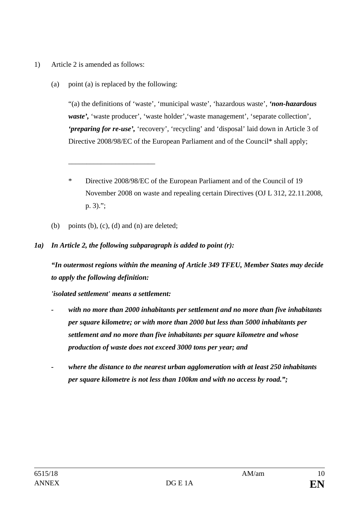- 1) Article 2 is amended as follows:
	- (a) point (a) is replaced by the following:

"(a) the definitions of 'waste', 'municipal waste', 'hazardous waste', *'non-hazardous*  waste', 'waste producer', 'waste holder', 'waste management', 'separate collection', *'preparing for re-use',* 'recovery', 'recycling' and 'disposal' laid down in Article 3 of Directive 2008/98/EC of the European Parliament and of the Council\* shall apply;

(b) points (b),  $(c)$ ,  $(d)$  and  $(n)$  are deleted;

\_\_\_\_\_\_\_\_\_\_\_\_\_\_\_\_\_\_\_\_\_\_\_\_

#### *1a) In Article 2, the following subparagraph is added to point (r):*

*"In outermost regions within the meaning of Article 349 TFEU, Member States may decide to apply the following definition:*

*'isolated settlement' means a settlement:*

- *- with no more than 2000 inhabitants per settlement and no more than five inhabitants per square kilometre; or with more than 2000 but less than 5000 inhabitants per settlement and no more than five inhabitants per square kilometre and whose production of waste does not exceed 3000 tons per year; and*
- *- where the distance to the nearest urban agglomeration with at least 250 inhabitants per square kilometre is not less than 100km and with no access by road.";*

<sup>\*</sup> Directive 2008/98/EC of the European Parliament and of the Council of 19 November 2008 on waste and repealing certain Directives (OJ L 312, 22.11.2008, p. 3).";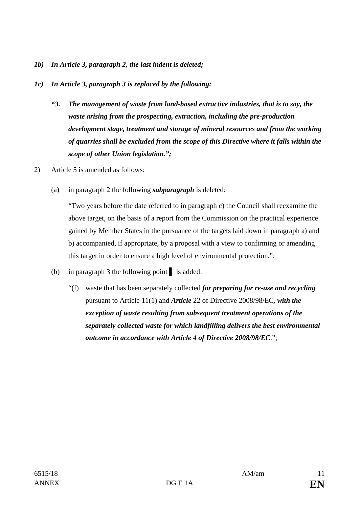- *1b) In Article 3, paragraph 2, the last indent is deleted;*
- *1c) In Article 3, paragraph 3 is replaced by the following:*
	- *"3. The management of waste from land-based extractive industries, that is to say, the waste arising from the prospecting, extraction, including the pre-production development stage, treatment and storage of mineral resources and from the working of quarries shall be excluded from the scope of this Directive where it falls within the scope of other Union legislation.";*
- 2) Article 5 is amended as follows:
	- (a) in paragraph 2 the following *subparagraph* is deleted:

"Two years before the date referred to in paragraph c) the Council shall reexamine the above target, on the basis of a report from the Commission on the practical experience gained by Member States in the pursuance of the targets laid down in paragraph a) and b) accompanied, if appropriate, by a proposal with a view to confirming or amending this target in order to ensure a high level of environmental protection.";

- (b) in paragraph 3 the following point **▌** is added:
	- "(f) waste that has been separately collected *for preparing for re-use and recycling*  pursuant to Article 11(1) and *Article* 22 of Directive 2008/98/EC*, with the exception of waste resulting from subsequent treatment operations of the separately collected waste for which landfilling delivers the best environmental outcome in accordance with Article 4 of Directive 2008/98/EC*.";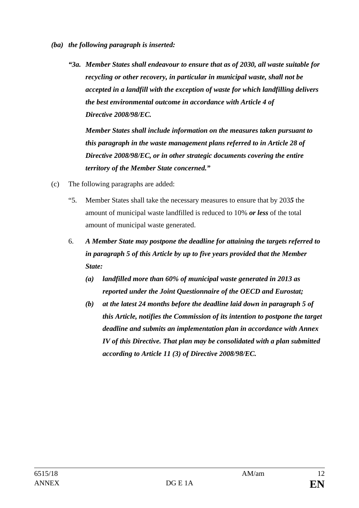- *(ba) the following paragraph is inserted:*
	- *"3a. Member States shall endeavour to ensure that as of 2030, all waste suitable for recycling or other recovery, in particular in municipal waste, shall not be accepted in a landfill with the exception of waste for which landfilling delivers the best environmental outcome in accordance with Article 4 of Directive 2008/98/EC.*

*Member States shall include information on the measures taken pursuant to this paragraph in the waste management plans referred to in Article 28 of Directive 2008/98/EC, or in other strategic documents covering the entire territory of the Member State concerned."*

- (c) The following paragraphs are added:
	- "5. Member States shall take the necessary measures to ensure that by 203*5* the amount of municipal waste landfilled is reduced to 10% *or less* of the total amount of municipal waste generated.
	- 6. *A Member State may postpone the deadline for attaining the targets referred to in paragraph 5 of this Article by up to five years provided that the Member State:*
		- *(a) landfilled more than 60% of municipal waste generated in 2013 as reported under the Joint Questionnaire of the OECD and Eurostat;*
		- *(b) at the latest 24 months before the deadline laid down in paragraph 5 of this Article, notifies the Commission of its intention to postpone the target deadline and submits an implementation plan in accordance with Annex IV of this Directive. That plan may be consolidated with a plan submitted according to Article 11 (3) of Directive 2008/98/EC.*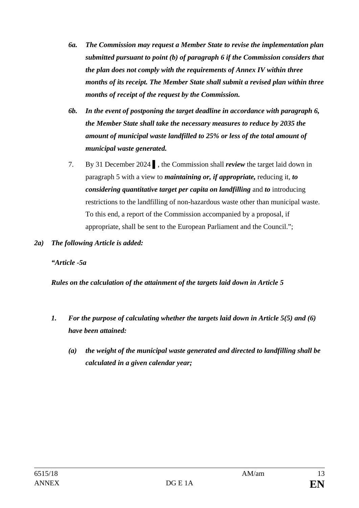- *6a. The Commission may request a Member State to revise the implementation plan submitted pursuant to point (b) of paragraph 6 if the Commission considers that the plan does not comply with the requirements of Annex IV within three months of its receipt. The Member State shall submit a revised plan within three months of receipt of the request by the Commission.*
- *6b. In the event of postponing the target deadline in accordance with paragraph 6, the Member State shall take the necessary measures to reduce by 2035 the amount of municipal waste landfilled to 25% or less of the total amount of municipal waste generated.*
- 7. By 31 December 2024 **▌**, the Commission shall *review* the target laid down in paragraph 5 with a view to *maintaining or, if appropriate,* reducing it, *to considering quantitative target per capita on landfilling* and *to* introducing restrictions to the landfilling of non-hazardous waste other than municipal waste. To this end, a report of the Commission accompanied by a proposal, if appropriate, shall be sent to the European Parliament and the Council.";
- *2a) The following Article is added:*

*"Article -5a*

*Rules on the calculation of the attainment of the targets laid down in Article 5*

- *1. For the purpose of calculating whether the targets laid down in Article 5(5) and (6) have been attained:*
	- *(a) the weight of the municipal waste generated and directed to landfilling shall be calculated in a given calendar year;*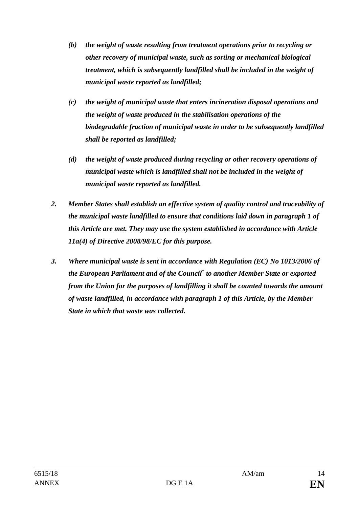- *(b) the weight of waste resulting from treatment operations prior to recycling or other recovery of municipal waste, such as sorting or mechanical biological treatment, which is subsequently landfilled shall be included in the weight of municipal waste reported as landfilled;*
- *(c) the weight of municipal waste that enters incineration disposal operations and the weight of waste produced in the stabilisation operations of the biodegradable fraction of municipal waste in order to be subsequently landfilled shall be reported as landfilled;*
- *(d) the weight of waste produced during recycling or other recovery operations of municipal waste which is landfilled shall not be included in the weight of municipal waste reported as landfilled.*
- *2. Member States shall establish an effective system of quality control and traceability of the municipal waste landfilled to ensure that conditions laid down in paragraph 1 of this Article are met. They may use the system established in accordance with Article 11a(4) of Directive 2008/98/EC for this purpose.*
- *3. Where municipal waste is sent in accordance with Regulation (EC) No 1013/2006 of the European Parliament and of the Council\* to another Member State or exported from the Union for the purposes of landfilling it shall be counted towards the amount of waste landfilled, in accordance with paragraph 1 of this Article, by the Member State in which that waste was collected.*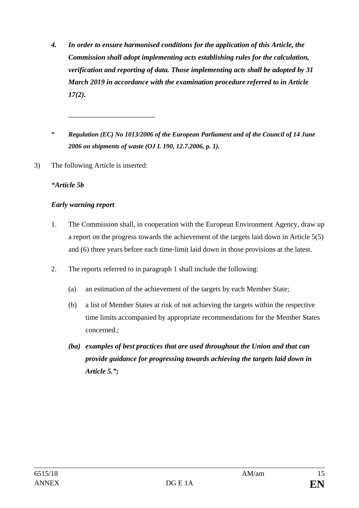- *4. In order to ensure harmonised conditions for the application of this Article, the Commission shall adopt implementing acts establishing rules for the calculation, verification and reporting of data. Those implementing acts shall be adopted by 31 March 2019 in accordance with the examination procedure referred to in Article 17(2).*
- \* *Regulation (EC) No 1013/2006 of the European Parliament and of the Council of 14 June 2006 on shipments of waste (OJ L 190, 12.7.2006, p. 1).*
- 3) The following Article is inserted:

\_\_\_\_\_\_\_\_\_\_\_\_\_\_\_\_\_\_\_\_\_\_\_\_

#### *"Article 5b*

#### *Early warning report*

- 1. The Commission shall, in cooperation with the European Environment Agency, draw up a report on the progress towards the achievement of the targets laid down in Article 5(5) and (6) three years before each time-limit laid down in those provisions at the latest.
- 2. The reports referred to in paragraph 1 shall include the following:
	- (a) an estimation of the achievement of the targets by each Member State;
	- (b) a list of Member States at risk of not achieving the targets within the respective time limits accompanied by appropriate recommendations for the Member States concerned.;
	- *(ba) examples of best practices that are used throughout the Union and that can provide guidance for progressing towards achieving the targets laid down in Article 5.";*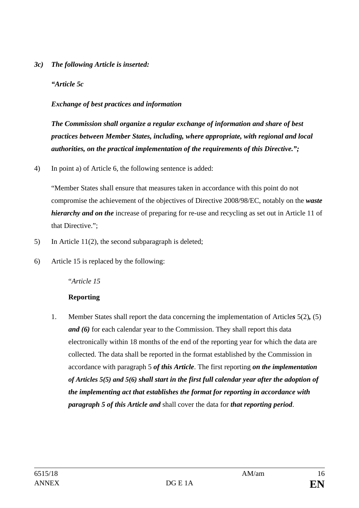#### *3c) The following Article is inserted:*

*"Article 5c*

### *Exchange of best practices and information*

*The Commission shall organize a regular exchange of information and share of best practices between Member States, including, where appropriate, with regional and local authorities, on the practical implementation of the requirements of this Directive.";*

4) In point a) of Article 6, the following sentence is added:

"Member States shall ensure that measures taken in accordance with this point do not compromise the achievement of the objectives of Directive 2008/98/EC, notably on the *waste hierarchy and on the* increase of preparing for re-use and recycling as set out in Article 11 of that Directive.";

- 5) In Article 11(2), the second subparagraph is deleted;
- 6) Article 15 is replaced by the following:

# "*Article 15*

# **Reporting**

1. Member States shall report the data concerning the implementation of Article*s* 5(2)*,* (5) *and (6)* for each calendar year to the Commission. They shall report this data electronically within 18 months of the end of the reporting year for which the data are collected. The data shall be reported in the format established by the Commission in accordance with paragraph 5 *of this Article*. The first reporting *on the implementation of Articles 5(5) and 5(6) shall start in the first full calendar year after the adoption of the implementing act that establishes the format for reporting in accordance with paragraph 5 of this Article and* shall cover the data for *that reporting period*.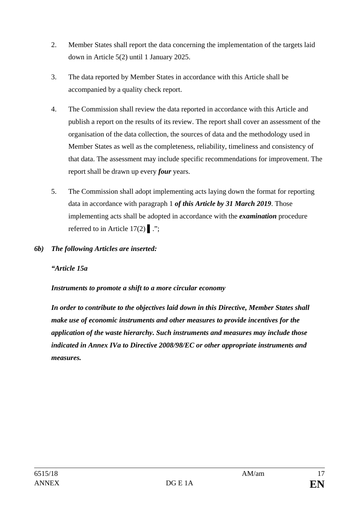- 2. Member States shall report the data concerning the implementation of the targets laid down in Article 5(2) until 1 January 2025.
- 3. The data reported by Member States in accordance with this Article shall be accompanied by a quality check report.
- 4. The Commission shall review the data reported in accordance with this Article and publish a report on the results of its review. The report shall cover an assessment of the organisation of the data collection, the sources of data and the methodology used in Member States as well as the completeness, reliability, timeliness and consistency of that data. The assessment may include specific recommendations for improvement. The report shall be drawn up every *four* years.
- 5. The Commission shall adopt implementing acts laying down the format for reporting data in accordance with paragraph 1 *of this Article by 31 March 2019*. Those implementing acts shall be adopted in accordance with the *examination* procedure referred to in Article 17(2) **▌**.";
- *6b) The following Articles are inserted:*

#### *"Article 15a*

#### *Instruments to promote a shift to a more circular economy*

*In order to contribute to the objectives laid down in this Directive, Member States shall make use of economic instruments and other measures to provide incentives for the application of the waste hierarchy. Such instruments and measures may include those indicated in Annex IVa to Directive 2008/98/EC or other appropriate instruments and measures.*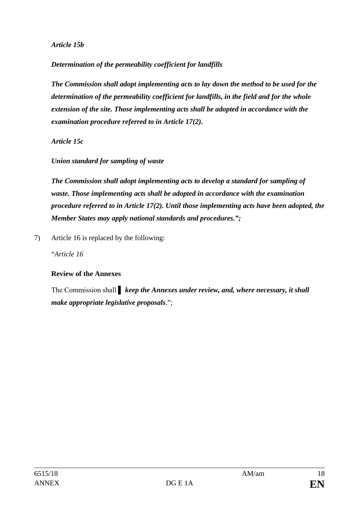*Article 15b*

*Determination of the permeability coefficient for landfills*

*The Commission shall adopt implementing acts to lay down the method to be used for the determination of the permeability coefficient for landfills, in the field and for the whole extension of the site. Those implementing acts shall be adopted in accordance with the examination procedure referred to in Article 17(2).*

*Article 15c*

*Union standard for sampling of waste*

*The Commission shall adopt implementing acts to develop a standard for sampling of waste. Those implementing acts shall be adopted in accordance with the examination procedure referred to in Article 17(2). Until those implementing acts have been adopted, the Member States may apply national standards and procedures.";*

7) Article 16 is replaced by the following:

"*Article 16*

# **Review of the Annexes**

The Commission shall *keep the Annexes under review, and, where necessary, it shall make appropriate legislative proposals*.";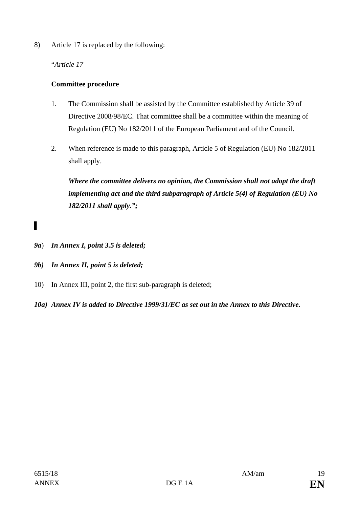8) Article 17 is replaced by the following:

"*Article 17*

# **Committee procedure**

- 1. The Commission shall be assisted by the Committee established by Article 39 of Directive 2008/98/EC. That committee shall be a committee within the meaning of Regulation (EU) No 182/2011 of the European Parliament and of the Council.
- 2. When reference is made to this paragraph, Article 5 of Regulation (EU) No 182/2011 shall apply.

*Where the committee delivers no opinion, the Commission shall not adopt the draft implementing act and the third subparagraph of Article 5(4) of Regulation (EU) No 182/2011 shall apply.";*

- ▌
- *9a*) *In Annex I, point 3.5 is deleted;*
- *9b) In Annex II, point 5 is deleted;*
- 10) In Annex III, point 2, the first sub-paragraph is deleted;
- *10a) Annex IV is added to Directive 1999/31/EC as set out in the Annex to this Directive.*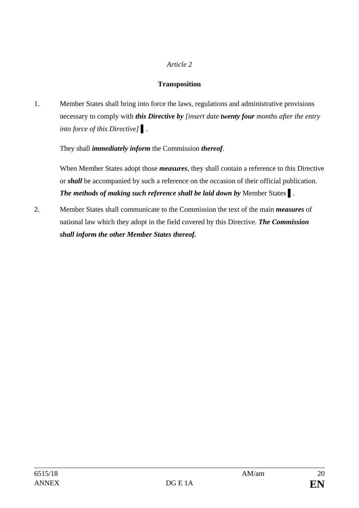#### *Article 2*

#### **Transposition**

1. Member States shall bring into force the laws, regulations and administrative provisions necessary to comply with *this Directive by [insert date twenty four months after the entry into force of this Directive]* **▌***.*

They shall *immediately inform* the Commission *thereof*.

When Member States adopt those *measures*, they shall contain a reference to this Directive or *shall* be accompanied by such a reference on the occasion of their official publication. *The methods of making such reference shall be laid down by* Member States **▌**.

2. Member States shall communicate to the Commission the text of the main *measures* of national law which they adopt in the field covered by this Directive. *The Commission shall inform the other Member States thereof.*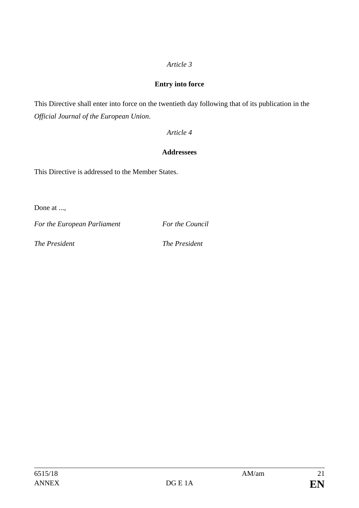# *Article 3*

### **Entry into force**

This Directive shall enter into force on the twentieth day following that of its publication in the *Official Journal of the European Union*.

#### *Article 4*

### **Addressees**

This Directive is addressed to the Member States.

Done at ...,

*For the European Parliament For the Council*

*The President The President*